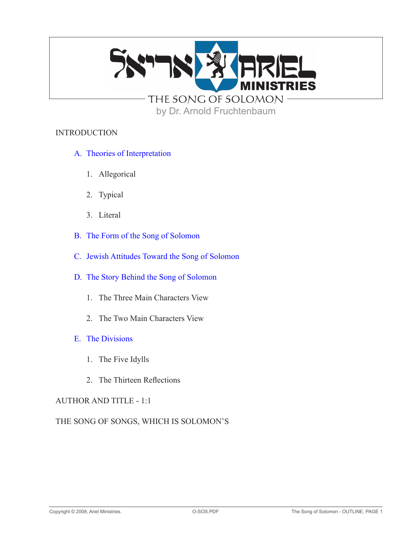

# by Dr. Arnold Fruchtenbaum

### **INTRODUCTION**

- A. Theories of Interpretation
	- 1. Allegorical
	- 2. Typical
	- 3. Literal
- B. The Form of the Song of Solomon
- C. Jewish Attitudes Toward the Song of Solomon
- D. The Story Behind the Song of Solomon
	- 1. The Three Main Characters View
	- 2. The Two Main Characters View
- E. The Divisions
	- 1. The Five Idylls
	- 2. The Thirteen Reflections

### AUTHOR AND TITLE - 1:1

THE SONG OF SONGS, WHICH IS SOLOMON'S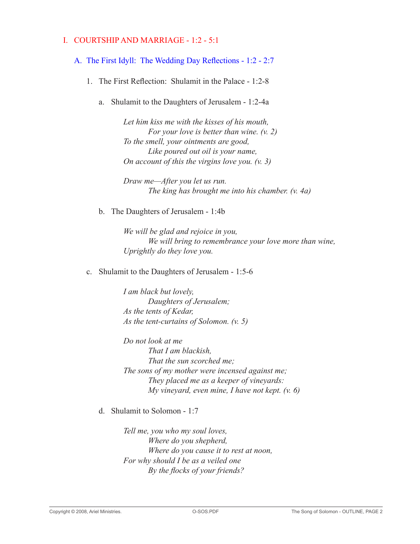# I. COURTSHIP AND MARRIAGE - 1:2 - 5:1

# A. The First Idyll: The Wedding Day Reflections - 1:2 - 2:7

- 1. The First Reflection: Shulamit in the Palace 1:2-8
	- a. Shulamit to the Daughters of Jerusalem 1:2-4a

*Let him kiss me with the kisses of his mouth, For your love is better than wine. (v. 2) To the smell, your ointments are good, Like poured out oil is your name, On account of this the virgins love you. (v. 3)*

*Draw me—After you let us run. The king has brought me into his chamber. (v. 4a)*

b. The Daughters of Jerusalem - 1:4b

*We will be glad and rejoice in you, We will bring to remembrance your love more than wine, Uprightly do they love you.*

c. Shulamit to the Daughters of Jerusalem - 1:5-6

*I am black but lovely, Daughters of Jerusalem; As the tents of Kedar, As the tent-curtains of Solomon. (v. 5)*

*Do not look at me That I am blackish, That the sun scorched me; The sons of my mother were incensed against me; They placed me as a keeper of vineyards: My vineyard, even mine, I have not kept. (v. 6)*

d. Shulamit to Solomon - 1:7

*Tell me, you who my soul loves, Where do you shepherd, Where do you cause it to rest at noon, For why should I be as a veiled one By the flocks of your friends?*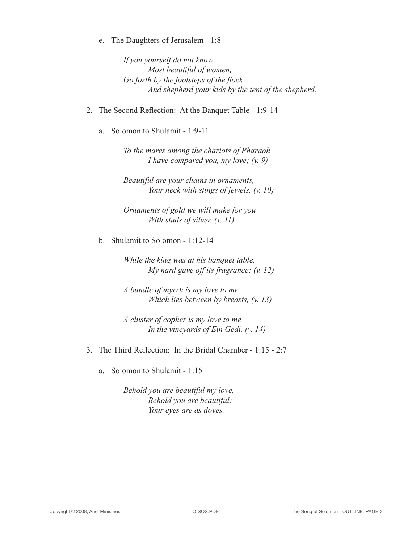e. The Daughters of Jerusalem - 1:8

*If you yourself do not know Most beautiful of women, Go forth by the footsteps of the flock And shepherd your kids by the tent of the shepherd.*

- 2. The Second Reflection: At the Banquet Table 1:9-14
	- a. Solomon to Shulamit 1:9-11

*To the mares among the chariots of Pharaoh I have compared you, my love; (v. 9)*

*Beautiful are your chains in ornaments, Your neck with stings of jewels, (v. 10)*

*Ornaments of gold we will make for you With studs of silver. (v. 11)*

b. Shulamit to Solomon - 1:12-14

*While the king was at his banquet table, My nard gave off its fragrance; (v. 12)*

*A bundle of myrrh is my love to me Which lies between by breasts, (v. 13)*

*A cluster of copher is my love to me In the vineyards of Ein Gedi. (v. 14)*

- 3. The Third Reflection: In the Bridal Chamber 1:15 2:7
	- a. Solomon to Shulamit 1:15

*Behold you are beautiful my love, Behold you are beautiful: Your eyes are as doves.*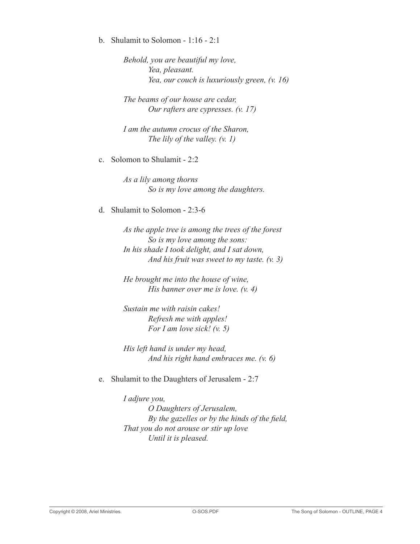b. Shulamit to Solomon - 1:16 - 2:1

*Behold, you are beautiful my love, Yea, pleasant. Yea, our couch is luxuriously green, (v. 16)*

*The beams of our house are cedar, Our rafters are cypresses. (v. 17)*

*I am the autumn crocus of the Sharon, The lily of the valley. (v. 1)*

c. Solomon to Shulamit - 2:2

*As a lily among thorns So is my love among the daughters.*

d. Shulamit to Solomon - 2:3-6

*As the apple tree is among the trees of the forest So is my love among the sons: In his shade I took delight, and I sat down, And his fruit was sweet to my taste. (v. 3)*

*He brought me into the house of wine, His banner over me is love. (v. 4)*

*Sustain me with raisin cakes! Refresh me with apples! For I am love sick! (v. 5)*

*His left hand is under my head, And his right hand embraces me. (v. 6)*

e. Shulamit to the Daughters of Jerusalem - 2:7

*I adjure you, O Daughters of Jerusalem, By the gazelles or by the hinds of the field, That you do not arouse or stir up love Until it is pleased.*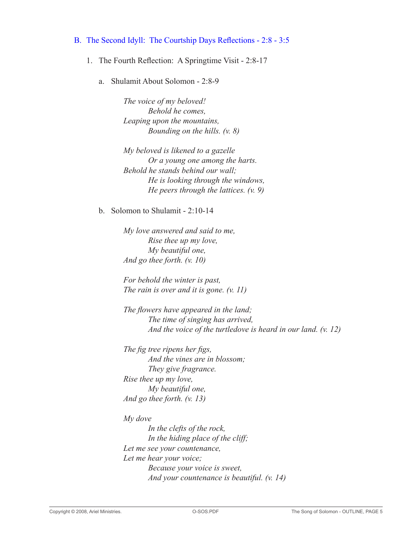### B. The Second Idyll: The Courtship Days Reflections - 2:8 - 3:5

- 1. The Fourth Reflection: A Springtime Visit 2:8-17
	- a. Shulamit About Solomon 2:8-9

*The voice of my beloved! Behold he comes, Leaping upon the mountains, Bounding on the hills. (v. 8)*

*My beloved is likened to a gazelle Or a young one among the harts. Behold he stands behind our wall; He is looking through the windows, He peers through the lattices. (v. 9)*

b. Solomon to Shulamit - 2:10-14

*My love answered and said to me, Rise thee up my love, My beautiful one, And go thee forth. (v. 10)*

*For behold the winter is past, The rain is over and it is gone. (v. 11)*

*The flowers have appeared in the land; The time of singing has arrived, And the voice of the turtledove is heard in our land. (v. 12)*

*The fig tree ripens her figs, And the vines are in blossom; They give fragrance. Rise thee up my love, My beautiful one, And go thee forth. (v. 13)*

*My dove*

*In the clefts of the rock, In the hiding place of the cliff; Let me see your countenance, Let me hear your voice; Because your voice is sweet, And your countenance is beautiful. (v. 14)*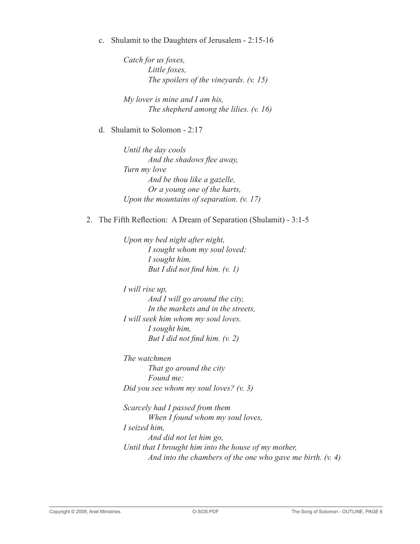c. Shulamit to the Daughters of Jerusalem - 2:15-16

*Catch for us foxes, Little foxes, The spoilers of the vineyards. (v. 15)*

*My lover is mine and I am his, The shepherd among the lilies. (v. 16)*

d. Shulamit to Solomon - 2:17

*Until the day cools And the shadows flee away, Turn my love And be thou like a gazelle, Or a young one of the harts, Upon the mountains of separation. (v. 17)*

### 2. The Fifth Reflection: A Dream of Separation (Shulamit) - 3:1-5

*Upon my bed night after night, I sought whom my soul loved; I sought him, But I did not find him. (v. 1)*

*I will rise up, And I will go around the city, In the markets and in the streets, I will seek him whom my soul loves. I sought him, But I did not find him. (v. 2)*

*The watchmen That go around the city Found me: Did you see whom my soul loves? (v. 3)*

*Scarcely had I passed from them When I found whom my soul loves, I seized him, And did not let him go, Until that I brought him into the house of my mother, And into the chambers of the one who gave me birth. (v. 4)*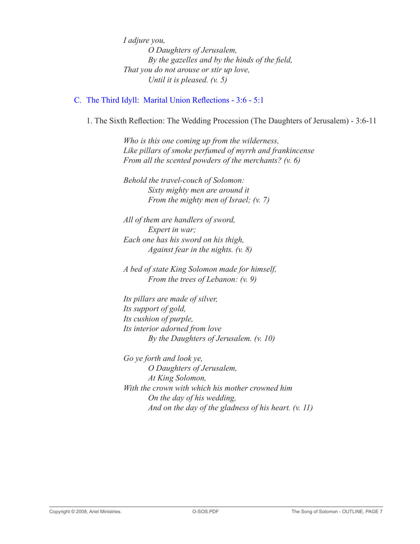*I adjure you, O Daughters of Jerusalem, By the gazelles and by the hinds of the field, That you do not arouse or stir up love, Until it is pleased. (v. 5)*

# C. The Third Idyll: Marital Union Reflections - 3:6 - 5:1

 1. The Sixth Reflection: The Wedding Procession (The Daughters of Jerusalem) - 3:6-11

*Who is this one coming up from the wilderness, Like pillars of smoke perfumed of myrrh and frankincense From all the scented powders of the merchants? (v. 6)*

*Behold the travel-couch of Solomon: Sixty mighty men are around it From the mighty men of Israel; (v. 7)*

*All of them are handlers of sword, Expert in war; Each one has his sword on his thigh, Against fear in the nights. (v. 8)*

*A bed of state King Solomon made for himself, From the trees of Lebanon: (v. 9)*

*Its pillars are made of silver, Its support of gold, Its cushion of purple, Its interior adorned from love By the Daughters of Jerusalem. (v. 10)*

*Go ye forth and look ye, O Daughters of Jerusalem, At King Solomon, With the crown with which his mother crowned him On the day of his wedding, And on the day of the gladness of his heart. (v. 11)*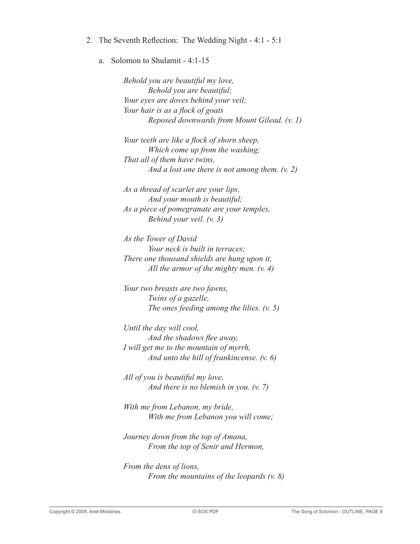- 2. The Seventh Reflection: The Wedding Night 4:1 5:1
	- a. Solomon to Shulamit 4:1-15

*Behold you are beautiful my love, Behold you are beautiful; Your eyes are doves behind your veil; Your hair is as a flock of goats Reposed downwards from Mount Gilead. (v. 1)*

*Your teeth are like a flock of shorn sheep, Which come up from the washing; That all of them have twins, And a lost one there is not among them. (v. 2)*

*As a thread of scarlet are your lips, And your mouth is beautiful; As a piece of pomegranate are your temples, Behind your veil. (v. 3)*

*As the Tower of David Your neck is built in terraces; There one thousand shields are hung upon it, All the armor of the mighty men. (v. 4)*

*Your two breasts are two fawns, Twins of a gazelle, The ones feeding among the lilies. (v. 5)*

*Until the day will cool, And the shadows flee away, I will get me to the mountain of myrrh, And unto the hill of frankincense. (v. 6)*

*All of you is beautiful my love, And there is no blemish in you. (v. 7)*

*With me from Lebanon, my bride, With me from Lebanon you will come;*

*Journey down from the top of Amana, From the top of Senir and Hermon,*

*From the dens of lions, From the mountains of the leopards (v. 8)*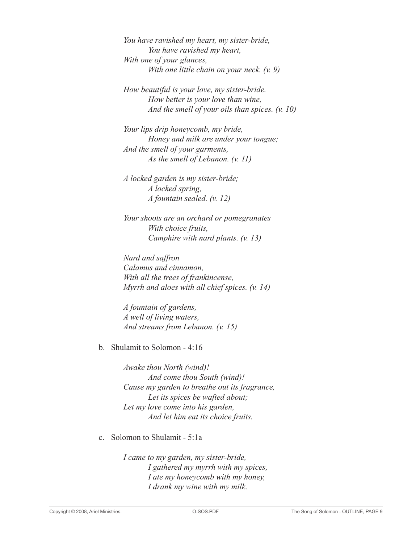*You have ravished my heart, my sister-bride, You have ravished my heart, With one of your glances, With one little chain on your neck. (v. 9)*

*How beautiful is your love, my sister-bride. How better is your love than wine, And the smell of your oils than spices. (v. 10)*

*Your lips drip honeycomb, my bride, Honey and milk are under your tongue; And the smell of your garments, As the smell of Lebanon. (v. 11)*

*A locked garden is my sister-bride; A locked spring, A fountain sealed. (v. 12)*

*Your shoots are an orchard or pomegranates With choice fruits, Camphire with nard plants. (v. 13)*

*Nard and saffron Calamus and cinnamon, With all the trees of frankincense, Myrrh and aloes with all chief spices. (v. 14)*

*A fountain of gardens, A well of living waters, And streams from Lebanon. (v. 15)*

### b. Shulamit to Solomon - 4:16

*Awake thou North (wind)! And come thou South (wind)! Cause my garden to breathe out its fragrance, Let its spices be wafted about; Let my love come into his garden, And let him eat its choice fruits.*

### c. Solomon to Shulamit - 5:1a

*I came to my garden, my sister-bride, I gathered my myrrh with my spices, I ate my honeycomb with my honey, I drank my wine with my milk.*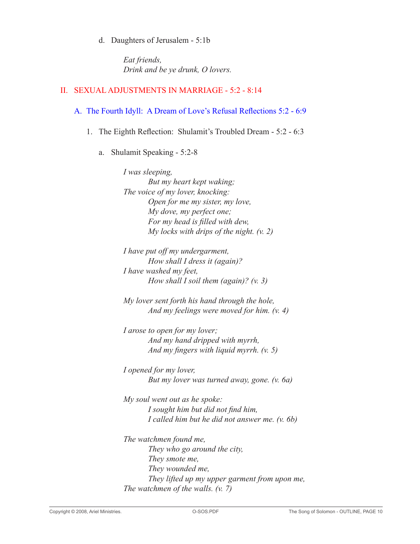d. Daughters of Jerusalem - 5:1b

*Eat friends, Drink and be ye drunk, O lovers.*

# II. SEXUAL ADJUSTMENTS IN MARRIAGE - 5:2 - 8:14

# A. The Fourth Idyll: A Dream of Love's Refusal Reflections 5:2 - 6:9

1. The Eighth Reflection: Shulamit's Troubled Dream - 5:2 - 6:3

# a. Shulamit Speaking - 5:2-8

*I was sleeping, But my heart kept waking; The voice of my lover, knocking: Open for me my sister, my love, My dove, my perfect one; For my head is filled with dew, My locks with drips of the night. (v. 2)*

*I have put off my undergarment, How shall I dress it (again)? I have washed my feet, How shall I soil them (again)? (v. 3)*

*My lover sent forth his hand through the hole, And my feelings were moved for him. (v. 4)*

*I arose to open for my lover; And my hand dripped with myrrh, And my fingers with liquid myrrh. (v. 5)*

*I opened for my lover, But my lover was turned away, gone. (v. 6a)*

*My soul went out as he spoke: I sought him but did not find him, I called him but he did not answer me. (v. 6b)*

*The watchmen found me, They who go around the city, They smote me, They wounded me, They lifted up my upper garment from upon me, The watchmen of the walls. (v. 7)*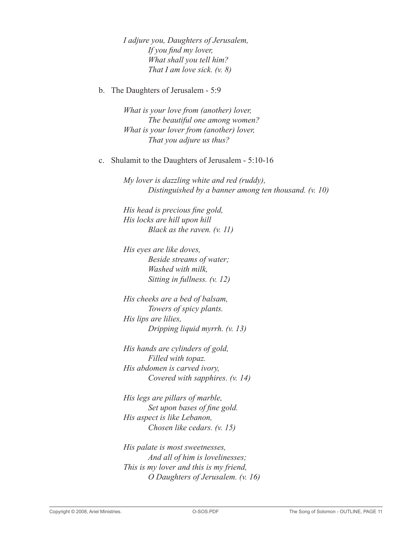*I adjure you, Daughters of Jerusalem, If you find my lover, What shall you tell him? That I am love sick. (v. 8)*

b. The Daughters of Jerusalem - 5:9

*What is your love from (another) lover, The beautiful one among women? What is your lover from (another) lover, That you adjure us thus?*

c. Shulamit to the Daughters of Jerusalem - 5:10-16

*My lover is dazzling white and red (ruddy), Distinguished by a banner among ten thousand. (v. 10)*

*His head is precious fine gold, His locks are hill upon hill Black as the raven. (v. 11)*

*His eyes are like doves, Beside streams of water; Washed with milk, Sitting in fullness. (v. 12)*

*His cheeks are a bed of balsam, Towers of spicy plants. His lips are lilies, Dripping liquid myrrh. (v. 13)*

*His hands are cylinders of gold, Filled with topaz. His abdomen is carved ivory, Covered with sapphires. (v. 14)*

*His legs are pillars of marble, Set upon bases of fine gold. His aspect is like Lebanon, Chosen like cedars. (v. 15)*

*His palate is most sweetnesses, And all of him is lovelinesses; This is my lover and this is my friend, O Daughters of Jerusalem. (v. 16)*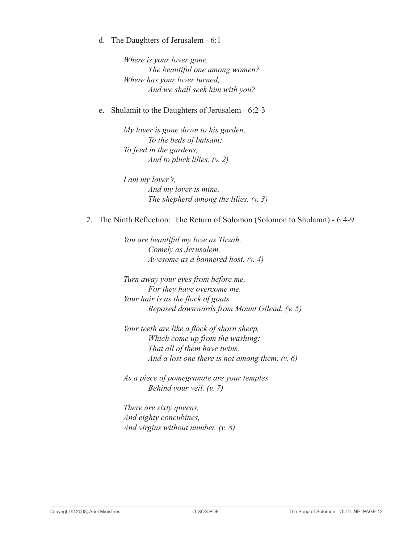d. The Daughters of Jerusalem - 6:1

*Where is your lover gone, The beautiful one among women? Where has your lover turned, And we shall seek him with you?*

e. Shulamit to the Daughters of Jerusalem - 6:2-3

*My lover is gone down to his garden, To the beds of balsam; To feed in the gardens, And to pluck lilies. (v. 2)*

*I am my lover's, And my lover is mine, The shepherd among the lilies. (v. 3)*

2. The Ninth Reflection: The Return of Solomon (Solomon to Shulamit) - 6:4-9

*You are beautiful my love as Tirzah, Comely as Jerusalem, Awesome as a bannered host. (v. 4)*

*Turn away your eyes from before me, For they have overcome me. Your hair is as the flock of goats Reposed downwards from Mount Gilead. (v. 5)*

*Your teeth are like a flock of shorn sheep, Which come up from the washing: That all of them have twins, And a lost one there is not among them. (v. 6)*

*As a piece of pomegranate are your temples Behind your veil. (v. 7)*

*There are sixty queens, And eighty concubines, And virgins without number. (v. 8)*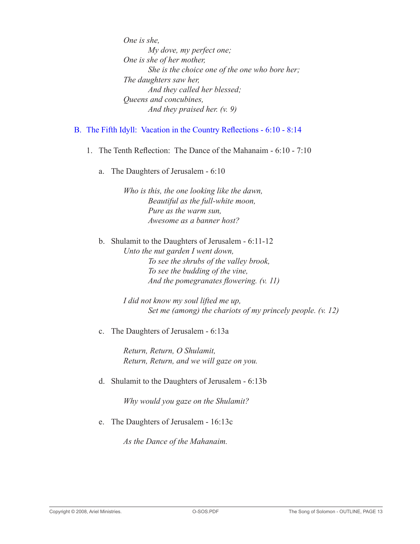*One is she, My dove, my perfect one; One is she of her mother, She is the choice one of the one who bore her; The daughters saw her, And they called her blessed; Queens and concubines, And they praised her. (v. 9)*

## B. The Fifth Idyll: Vacation in the Country Reflections - 6:10 - 8:14

- 1. The Tenth Reflection: The Dance of the Mahanaim 6:10 7:10
	- a. The Daughters of Jerusalem 6:10

*Who is this, the one looking like the dawn, Beautiful as the full-white moon, Pure as the warm sun, Awesome as a banner host?*

b. Shulamit to the Daughters of Jerusalem - 6:11-12 *Unto the nut garden I went down, To see the shrubs of the valley brook, To see the budding of the vine, And the pomegranates flowering. (v. 11)*

> *I did not know my soul lifted me up, Set me (among) the chariots of my princely people. (v. 12)*

c. The Daughters of Jerusalem - 6:13a

*Return, Return, O Shulamit, Return, Return, and we will gaze on you.*

d. Shulamit to the Daughters of Jerusalem - 6:13b

*Why would you gaze on the Shulamit?*

e. The Daughters of Jerusalem - 16:13c

*As the Dance of the Mahanaim.*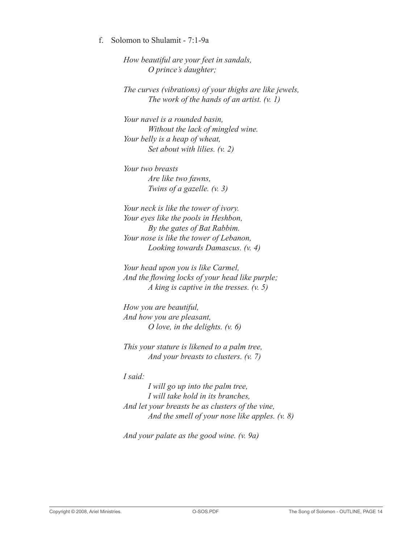### f. Solomon to Shulamit - 7:1-9a

*How beautiful are your feet in sandals, O prince's daughter;*

*The curves (vibrations) of your thighs are like jewels, The work of the hands of an artist. (v. 1)*

*Your navel is a rounded basin, Without the lack of mingled wine. Your belly is a heap of wheat, Set about with lilies. (v. 2)*

*Your two breasts Are like two fawns, Twins of a gazelle. (v. 3)*

*Your neck is like the tower of ivory. Your eyes like the pools in Heshbon, By the gates of Bat Rabbim. Your nose is like the tower of Lebanon, Looking towards Damascus. (v. 4)*

*Your head upon you is like Carmel, And the flowing locks of your head like purple; A king is captive in the tresses. (v. 5)*

*How you are beautiful, And how you are pleasant, O love, in the delights. (v. 6)*

*This your stature is likened to a palm tree, And your breasts to clusters. (v. 7)*

*I said:*

*I will go up into the palm tree, I will take hold in its branches, And let your breasts be as clusters of the vine, And the smell of your nose like apples. (v. 8)*

*And your palate as the good wine. (v. 9a)*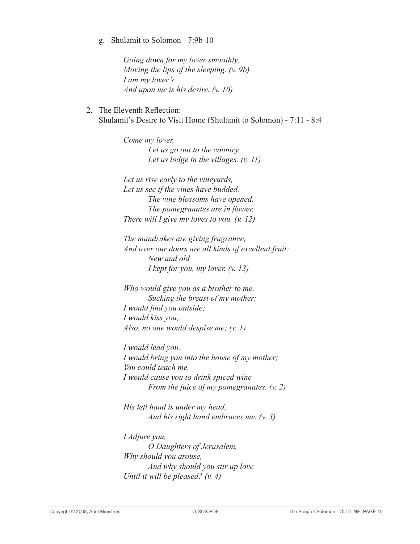### g. Shulamit to Solomon - 7:9b-10

*Going down for my lover smoothly, Moving the lips of the sleeping. (v. 9b) I am my lover's And upon me is his desire. (v. 10)*

 2. The Eleventh Reflection: Shulamit's Desire to Visit Home (Shulamit to Solomon) - 7:11 - 8:4

> *Come my lover, Let us go out to the country, Let us lodge in the villages. (v. 11)*

*Let us rise early to the vineyards, Let us see if the vines have budded, The vine blossoms have opened, The pomegranates are in flower. There will I give my loves to you. (v. 12)*

*The mandrakes are giving fragrance, And over our doors are all kinds of excellent fruit: New and old I kept for you, my lover. (v. 13)*

*Who would give you as a brother to me, Sucking the breast of my mother; I would find you outside; I would kiss you, Also, no one would despise me; (v. 1)*

*I would lead you, I would bring you into the house of my mother; You could teach me, I would cause you to drink spiced wine From the juice of my pomegranates. (v. 2)*

*His left hand is under my head, And his right hand embraces me. (v. 3)*

*I Adjure you, O Daughters of Jerusalem, Why should you arouse, And why should you stir up love Until it will be pleased? (v. 4)*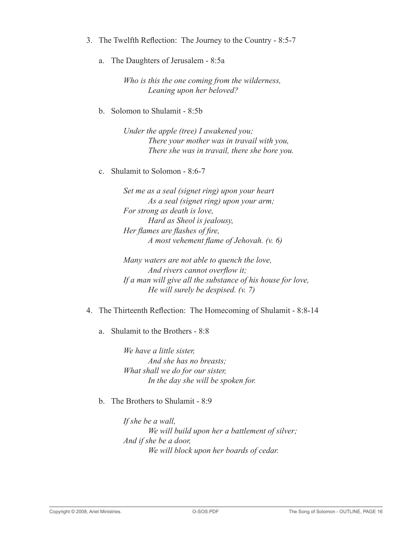- 3. The Twelfth Reflection: The Journey to the Country 8:5-7
	- a. The Daughters of Jerusalem 8:5a

*Who is this the one coming from the wilderness, Leaning upon her beloved?*

b. Solomon to Shulamit - 8:5b

*Under the apple (tree) I awakened you; There your mother was in travail with you, There she was in travail, there she bore you.*

c. Shulamit to Solomon - 8:6-7

*Set me as a seal (signet ring) upon your heart As a seal (signet ring) upon your arm; For strong as death is love, Hard as Sheol is jealousy, Her flames are flashes of fire, A most vehement flame of Jehovah. (v. 6)*

*Many waters are not able to quench the love, And rivers cannot overflow it; If a man will give all the substance of his house for love, He will surely be despised. (v. 7)*

 4. The Thirteenth Reflection: The Homecoming of Shulamit - 8:8-14

a. Shulamit to the Brothers - 8:8

*We have a little sister, And she has no breasts; What shall we do for our sister, In the day she will be spoken for.*

b. The Brothers to Shulamit - 8:9

*If she be a wall, We will build upon her a battlement of silver; And if she be a door, We will block upon her boards of cedar.*